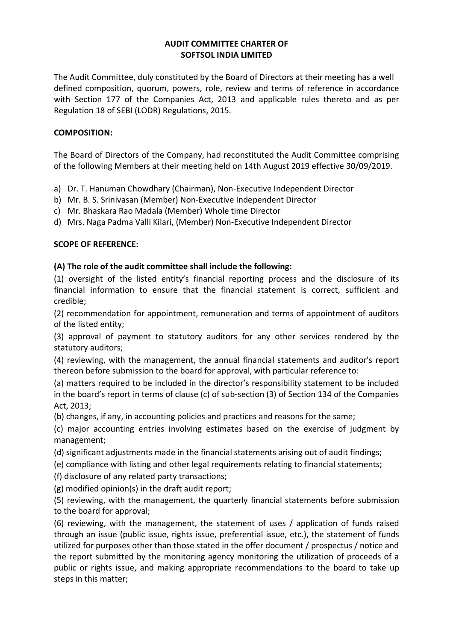#### **AUDIT COMMITTEE CHARTER OF SOFTSOL INDIA LIMITED**

The Audit Committee, duly constituted by the Board of Directors at their meeting has a well defined composition, quorum, powers, role, review and terms of reference in accordance with Section 177 of the Companies Act, 2013 and applicable rules thereto and as per Regulation 18 of SEBI (LODR) Regulations, 2015.

### **COMPOSITION:**

The Board of Directors of the Company, had reconstituted the Audit Committee comprising of the following Members at their meeting held on 14th August 2019 effective 30/09/2019.

a) Dr. T. Hanuman Chowdhary (Chairman), Non-Executive Independent Director

- b) Mr. B. S. Srinivasan (Member) Non-Executive Independent Director
- c) Mr. Bhaskara Rao Madala (Member) Whole time Director
- d) Mrs. Naga Padma Valli Kilari, (Member) Non-Executive Independent Director

#### **SCOPE OF REFERENCE:**

### **(A) The role of the audit committee shall include the following:**

(1) oversight of the listed entity's financial reporting process and the disclosure of its financial information to ensure that the financial statement is correct, sufficient and credible;

(2) recommendation for appointment, remuneration and terms of appointment of auditors of the listed entity;

(3) approval of payment to statutory auditors for any other services rendered by the statutory auditors;

(4) reviewing, with the management, the annual financial statements and auditor's report thereon before submission to the board for approval, with particular reference to:

(a) matters required to be included in the director's responsibility statement to be included in the board's report in terms of clause (c) of sub-section (3) of Section 134 of the Companies Act, 2013;

(b) changes, if any, in accounting policies and practices and reasons for the same;

(c) major accounting entries involving estimates based on the exercise of judgment by management;

(d) significant adjustments made in the financial statements arising out of audit findings;

(e) compliance with listing and other legal requirements relating to financial statements;

(f) disclosure of any related party transactions;

(g) modified opinion(s) in the draft audit report;

(5) reviewing, with the management, the quarterly financial statements before submission to the board for approval;

(6) reviewing, with the management, the statement of uses / application of funds raised through an issue (public issue, rights issue, preferential issue, etc.), the statement of funds utilized for purposes other than those stated in the offer document / prospectus / notice and the report submitted by the monitoring agency monitoring the utilization of proceeds of a public or rights issue, and making appropriate recommendations to the board to take up steps in this matter;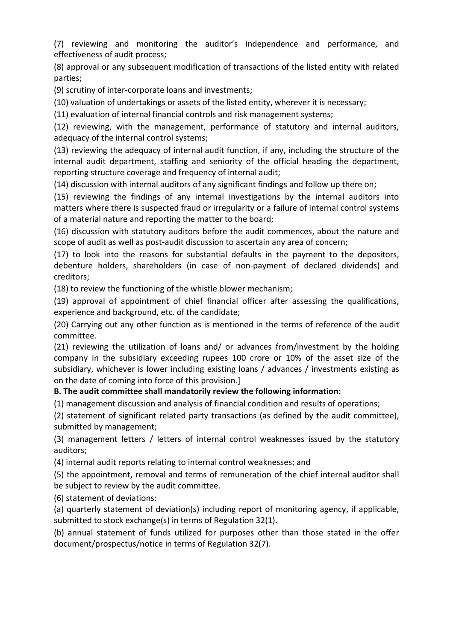(7) reviewing and monitoring the auditor's independence and performance, and effectiveness of audit process;

(8) approval or any subsequent modification of transactions of the listed entity with related parties;

(9) scrutiny of inter-corporate loans and investments;

(10) valuation of undertakings or assets of the listed entity, wherever it is necessary;

(11) evaluation of internal financial controls and risk management systems;

(12) reviewing, with the management, performance of statutory and internal auditors, adequacy of the internal control systems;

(13) reviewing the adequacy of internal audit function, if any, including the structure of the internal audit department, staffing and seniority of the official heading the department, reporting structure coverage and frequency of internal audit;

(14) discussion with internal auditors of any significant findings and follow up there on;

(15) reviewing the findings of any internal investigations by the internal auditors into matters where there is suspected fraud or irregularity or a failure of internal control systems of a material nature and reporting the matter to the board;

(16) discussion with statutory auditors before the audit commences, about the nature and scope of audit as well as post-audit discussion to ascertain any area of concern;

(17) to look into the reasons for substantial defaults in the payment to the depositors, debenture holders, shareholders (in case of non-payment of declared dividends) and creditors;

(18) to review the functioning of the whistle blower mechanism;

(19) approval of appointment of chief financial officer after assessing the qualifications, experience and background, etc. of the candidate;

(20) Carrying out any other function as is mentioned in the terms of reference of the audit committee.

(21) reviewing the utilization of loans and/ or advances from/investment by the holding company in the subsidiary exceeding rupees 100 crore or 10% of the asset size of the subsidiary, whichever is lower including existing loans / advances / investments existing as on the date of coming into force of this provision.]

# **B. The audit committee shall mandatorily review the following information:**

(1) management discussion and analysis of financial condition and results of operations;

(2) statement of significant related party transactions (as defined by the audit committee), submitted by management;

(3) management letters / letters of internal control weaknesses issued by the statutory auditors;

(4) internal audit reports relating to internal control weaknesses; and

(5) the appointment, removal and terms of remuneration of the chief internal auditor shall be subject to review by the audit committee.

(6) statement of deviations:

(a) quarterly statement of deviation(s) including report of monitoring agency, if applicable, submitted to stock exchange(s) in terms of Regulation 32(1).

(b) annual statement of funds utilized for purposes other than those stated in the offer document/prospectus/notice in terms of Regulation 32(7).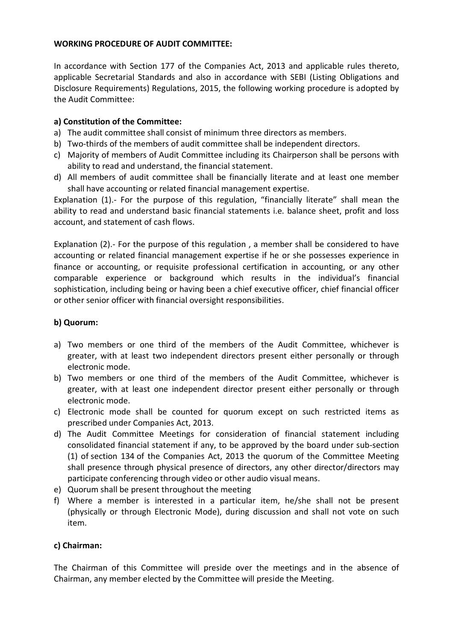### **WORKING PROCEDURE OF AUDIT COMMITTEE:**

In accordance with Section 177 of the Companies Act, 2013 and applicable rules thereto, applicable Secretarial Standards and also in accordance with SEBI (Listing Obligations and Disclosure Requirements) Regulations, 2015, the following working procedure is adopted by the Audit Committee:

### **a) Constitution of the Committee:**

- a) The audit committee shall consist of minimum three directors as members.
- b) Two-thirds of the members of audit committee shall be independent directors.
- c) Majority of members of Audit Committee including its Chairperson shall be persons with ability to read and understand, the financial statement.
- d) All members of audit committee shall be financially literate and at least one member shall have accounting or related financial management expertise.

Explanation (1).- For the purpose of this regulation, "financially literate" shall mean the ability to read and understand basic financial statements i.e. balance sheet, profit and loss account, and statement of cash flows.

Explanation (2).- For the purpose of this regulation , a member shall be considered to have accounting or related financial management expertise if he or she possesses experience in finance or accounting, or requisite professional certification in accounting, or any other comparable experience or background which results in the individual's financial sophistication, including being or having been a chief executive officer, chief financial officer or other senior officer with financial oversight responsibilities.

#### **b) Quorum:**

- a) Two members or one third of the members of the Audit Committee, whichever is greater, with at least two independent directors present either personally or through electronic mode.
- b) Two members or one third of the members of the Audit Committee, whichever is greater, with at least one independent director present either personally or through electronic mode.
- c) Electronic mode shall be counted for quorum except on such restricted items as prescribed under Companies Act, 2013.
- d) The Audit Committee Meetings for consideration of financial statement including consolidated financial statement if any, to be approved by the board under sub-section (1) of section 134 of the Companies Act, 2013 the quorum of the Committee Meeting shall presence through physical presence of directors, any other director/directors may participate conferencing through video or other audio visual means.
- e) Quorum shall be present throughout the meeting
- f) Where a member is interested in a particular item, he/she shall not be present (physically or through Electronic Mode), during discussion and shall not vote on such item.

# **c) Chairman:**

The Chairman of this Committee will preside over the meetings and in the absence of Chairman, any member elected by the Committee will preside the Meeting.